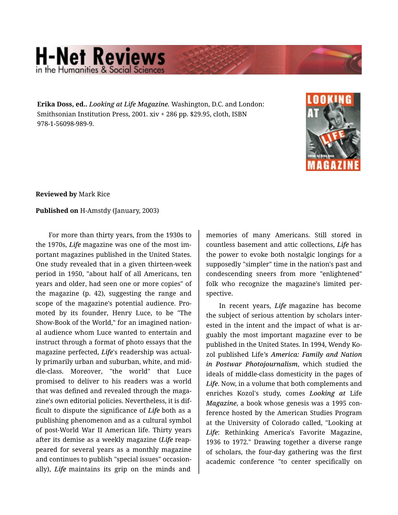## **H-Net Reviews** in the Humanities & Social Scie

**Erika Doss, ed..** *Looking at Life Magazine.* Washington, D.C. and London: Smithsonian Institution Press, 2001. xiv + 286 pp. \$29.95, cloth, ISBN 978-1-56098-989-9.



**Reviewed by** Mark Rice

## **Published on** H-Amstdy (January, 2003)

For more than thirty years, from the 1930s to the 1970s, *Life* magazine was one of the most im‐ portant magazines published in the United States. One study revealed that in a given thirteen-week period in 1950, "about half of all Americans, ten years and older, had seen one or more copies" of the magazine (p. 42), suggesting the range and scope of the magazine's potential audience. Pro‐ moted by its founder, Henry Luce, to be "The Show-Book of the World," for an imagined nation‐ al audience whom Luce wanted to entertain and instruct through a format of photo essays that the magazine perfected, *Life*'s readership was actual‐ ly primarily urban and suburban, white, and mid‐ dle-class. Moreover, "the world" that Luce promised to deliver to his readers was a world that was defined and revealed through the maga‐ zine's own editorial policies. Nevertheless, it is dif‐ ficult to dispute the significance of *Life* both as a publishing phenomenon and as a cultural symbol of post-World War II American life. Thirty years after its demise as a weekly magazine (*Life* reap‐ peared for several years as a monthly magazine and continues to publish "special issues" occasion‐ ally), *Life* maintains its grip on the minds and

memories of many Americans. Still stored in countless basement and attic collections, *Life* has the power to evoke both nostalgic longings for a supposedly "simpler" time in the nation's past and condescending sneers from more "enlightened" folk who recognize the magazine's limited per‐ spective.

In recent years, *Life* magazine has become the subject of serious attention by scholars inter‐ ested in the intent and the impact of what is ar‐ guably the most important magazine ever to be published in the United States. In 1994, Wendy Ko‐ zol published Life*'s America: Family and Nation in Postwar Photojournalism*, which studied the ideals of middle-class domesticity in the pages of *Life*. Now, in a volume that both complements and enriches Kozol's study, comes *Looking at* Life *Magazine*, a book whose genesis was a 1995 con‐ ference hosted by the American Studies Program at the University of Colorado called, "Looking at *Life*: Rethinking America's Favorite Magazine, 1936 to 1972." Drawing together a diverse range of scholars, the four-day gathering was the first academic conference "to center specifically on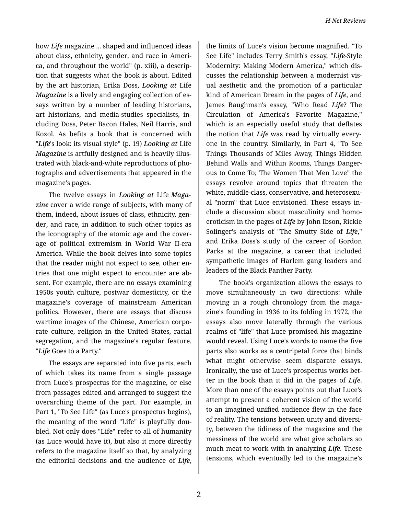how *Life* magazine ... shaped and influenced ideas about class, ethnicity, gender, and race in Ameri‐ ca, and throughout the world" (p. xiii), a descrip‐ tion that suggests what the book is about. Edited by the art historian, Erika Doss, *Looking at* Life *Magazine* is a lively and engaging collection of es‐ says written by a number of leading historians, art historians, and media-studies specialists, in‐ cluding Doss, Peter Bacon Hales, Neil Harris, and Kozol. As befits a book that is concerned with "*Life*'s look: its visual style" (p. 19) *Looking at* Life *Magazine* is artfully designed and is heavily illus‐ trated with black-and-white reproductions of pho‐ tographs and advertisements that appeared in the magazine's pages.

The twelve essays in *Looking at* Life *Maga‐ zine* cover a wide range of subjects, with many of them, indeed, about issues of class, ethnicity, gen‐ der, and race, in addition to such other topics as the iconography of the atomic age and the cover‐ age of political extremism in World War II-era America. While the book delves into some topics that the reader might not expect to see, other en‐ tries that one might expect to encounter are ab‐ sent. For example, there are no essays examining 1950s youth culture, postwar domesticity, or the magazine's coverage of mainstream American politics. However, there are essays that discuss wartime images of the Chinese, American corpo‐ rate culture, religion in the United States, racial segregation, and the magazine's regular feature, "*Life* Goes to a Party."

The essays are separated into five parts, each of which takes its name from a single passage from Luce's prospectus for the magazine, or else from passages edited and arranged to suggest the overarching theme of the part. For example, in Part 1, "To See Life" (as Luce's prospectus begins), the meaning of the word "Life" is playfully dou‐ bled. Not only does "Life" refer to all of humanity (as Luce would have it), but also it more directly refers to the magazine itself so that, by analyzing the editorial decisions and the audience of *Life*,

the limits of Luce's vision become magnified. "To See Life" includes Terry Smith's essay, "*Life*-Style Modernity: Making Modern America," which dis‐ cusses the relationship between a modernist vis‐ ual aesthetic and the promotion of a particular kind of American Dream in the pages of *Life*, and James Baughman's essay, "Who Read *Life*? The Circulation of America's Favorite Magazine," which is an especially useful study that deflates the notion that *Life* was read by virtually every‐ one in the country. Similarly, in Part 4, "To See Things Thousands of Miles Away, Things Hidden Behind Walls and Within Rooms, Things Danger‐ ous to Come To; The Women That Men Love" the essays revolve around topics that threaten the white, middle-class, conservative, and heterosexu‐ al "norm" that Luce envisioned. These essays in‐ clude a discussion about masculinity and homo‐ eroticism in the pages of *Life* by John Ibson, Rickie Solinger's analysis of "The Smutty Side of *Life*," and Erika Doss's study of the career of Gordon Parks at the magazine, a career that included sympathetic images of Harlem gang leaders and leaders of the Black Panther Party.

The book's organization allows the essays to move simultaneously in two directions: while moving in a rough chronology from the maga‐ zine's founding in 1936 to its folding in 1972, the essays also move laterally through the various realms of "life" that Luce promised his magazine would reveal. Using Luce's words to name the five parts also works as a centripetal force that binds what might otherwise seem disparate essays. Ironically, the use of Luce's prospectus works bet‐ ter in the book than it did in the pages of *Life*. More than one of the essays points out that Luce's attempt to present a coherent vision of the world to an imagined unified audience flew in the face of reality. The tensions between unity and diversi‐ ty, between the tidiness of the magazine and the messiness of the world are what give scholars so much meat to work with in analyzing *Life*. These tensions, which eventually led to the magazine's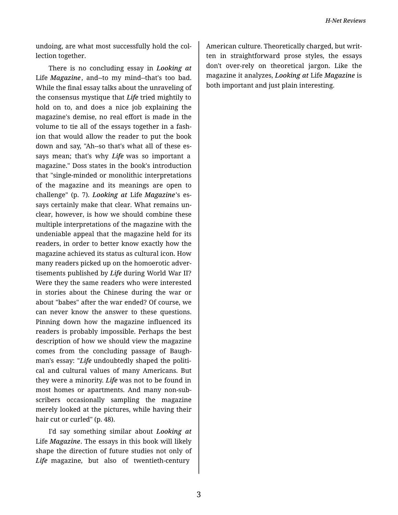undoing, are what most successfully hold the col‐ lection together.

There is no concluding essay in *Looking at* Life *Magazine*, and--to my mind--that's too bad. While the final essay talks about the unraveling of the consensus mystique that *Life* tried mightily to hold on to, and does a nice job explaining the magazine's demise, no real effort is made in the volume to tie all of the essays together in a fash‐ ion that would allow the reader to put the book down and say, "Ah--so that's what all of these es‐ says mean; that's why *Life* was so important a magazine." Doss states in the book's introduction that "single-minded or monolithic interpretations of the magazine and its meanings are open to challenge" (p. 7). *Looking at* Life *Magazine*'s es‐ says certainly make that clear. What remains un‐ clear, however, is how we should combine these multiple interpretations of the magazine with the undeniable appeal that the magazine held for its readers, in order to better know exactly how the magazine achieved its status as cultural icon. How many readers picked up on the homoerotic adver‐ tisements published by *Life* during World War II? Were they the same readers who were interested in stories about the Chinese during the war or about "babes" after the war ended? Of course, we can never know the answer to these questions. Pinning down how the magazine influenced its readers is probably impossible. Perhaps the best description of how we should view the magazine comes from the concluding passage of Baugh‐ man's essay: "Life undoubtedly shaped the political and cultural values of many Americans. But they were a minority. *Life* was not to be found in most homes or apartments. And many non-sub‐ scribers occasionally sampling the magazine merely looked at the pictures, while having their hair cut or curled" (p. 48).

I'd say something similar about *Looking at* Life *Magazine*. The essays in this book will likely shape the direction of future studies not only of *Life* magazine, but also of twentieth-century

American culture. Theoretically charged, but writ‐ ten in straightforward prose styles, the essays don't over-rely on theoretical jargon. Like the magazine it analyzes, *Looking at* Life *Magazine* is both important and just plain interesting.